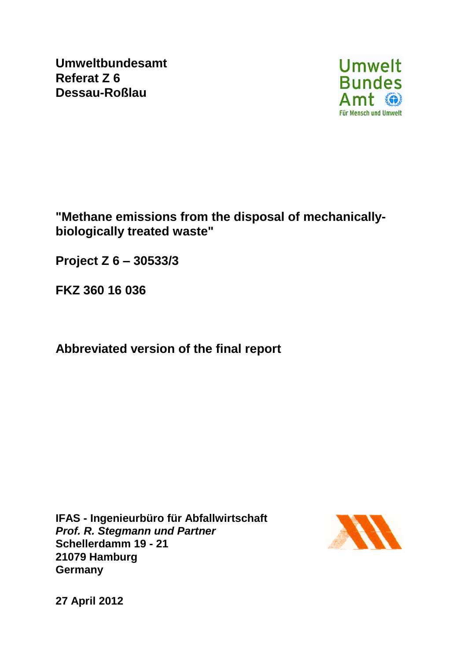**Umweltbundesamt Referat Z 6 Dessau-Roßlau**



**"Methane emissions from the disposal of mechanicallybiologically treated waste"**

**Project Z 6 – 30533/3**

**FKZ 360 16 036**

**Abbreviated version of the final report**

**IFAS - Ingenieurbüro für Abfallwirtschaft**  *Prof. R. Stegmann und Partner* **Schellerdamm 19 - 21 21079 Hamburg Germany**



**27 April 2012**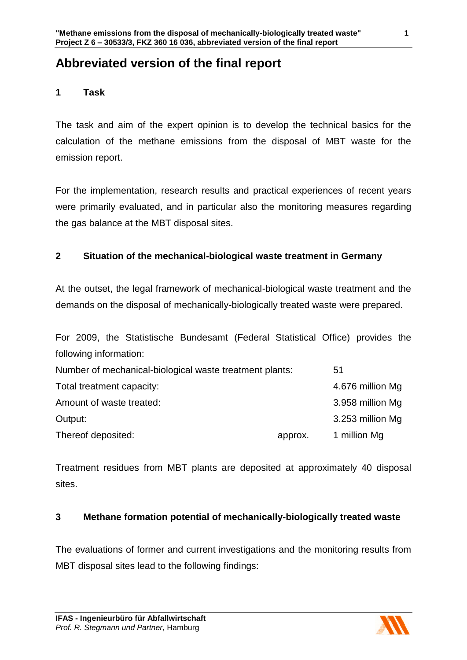# **Abbreviated version of the final report**

# **1 Task**

The task and aim of the expert opinion is to develop the technical basics for the calculation of the methane emissions from the disposal of MBT waste for the emission report.

For the implementation, research results and practical experiences of recent years were primarily evaluated, and in particular also the monitoring measures regarding the gas balance at the MBT disposal sites.

# **2 Situation of the mechanical-biological waste treatment in Germany**

At the outset, the legal framework of mechanical-biological waste treatment and the demands on the disposal of mechanically-biologically treated waste were prepared.

For 2009, the Statistische Bundesamt (Federal Statistical Office) provides the following information:

| Number of mechanical-biological waste treatment plants: |         | 51               |
|---------------------------------------------------------|---------|------------------|
| Total treatment capacity:                               |         | 4.676 million Mg |
| Amount of waste treated:                                |         | 3.958 million Mg |
| Output:                                                 |         | 3.253 million Mg |
| Thereof deposited:                                      | approx. | 1 million Mg     |

Treatment residues from MBT plants are deposited at approximately 40 disposal sites.

# **3 Methane formation potential of mechanically-biologically treated waste**

The evaluations of former and current investigations and the monitoring results from MBT disposal sites lead to the following findings:

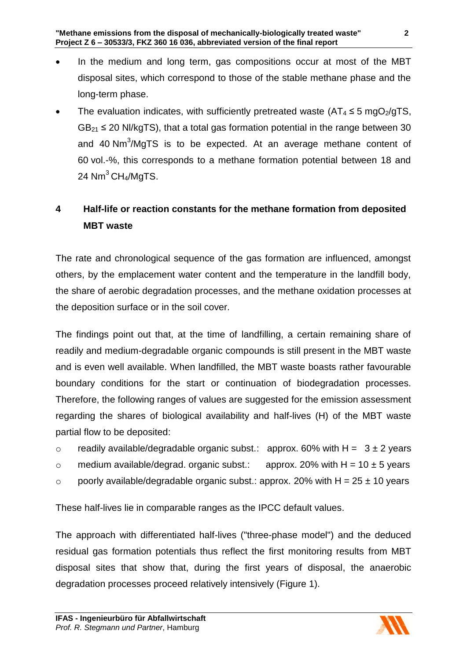**"Methane emissions from the disposal of mechanically-biologically treated waste" Project Z 6 – 30533/3, FKZ 360 16 036, abbreviated version of the final report**

- In the medium and long term, gas compositions occur at most of the MBT disposal sites, which correspond to those of the stable methane phase and the long-term phase.
- The evaluation indicates, with sufficiently pretreated waste  $(AT_4 \le 5 \text{ mgO}_2/\text{qTS})$ ,  $GB_{21} \leq 20$  NI/kgTS), that a total gas formation potential in the range between 30 and 40 Nm<sup>3</sup>/MgTS is to be expected. At an average methane content of 60 vol.-%, this corresponds to a methane formation potential between 18 and 24  $Nm^3$ CH<sub>4</sub>/MgTS.

# **4 Half-life or reaction constants for the methane formation from deposited MBT waste**

The rate and chronological sequence of the gas formation are influenced, amongst others, by the emplacement water content and the temperature in the landfill body, the share of aerobic degradation processes, and the methane oxidation processes at the deposition surface or in the soil cover.

The findings point out that, at the time of landfilling, a certain remaining share of readily and medium-degradable organic compounds is still present in the MBT waste and is even well available. When landfilled, the MBT waste boasts rather favourable boundary conditions for the start or continuation of biodegradation processes. Therefore, the following ranges of values are suggested for the emission assessment regarding the shares of biological availability and half-lives (H) of the MBT waste partial flow to be deposited:

- o readily available/degradable organic subst.: approx. 60% with  $H = 3 \pm 2$  years
- o medium available/degrad. organic subst.: approx. 20% with  $H = 10 \pm 5$  years
- o poorly available/degradable organic subst.: approx. 20% with H =  $25 \pm 10$  years

These half-lives lie in comparable ranges as the IPCC default values.

The approach with differentiated half-lives ("three-phase model") and the deduced residual gas formation potentials thus reflect the first monitoring results from MBT disposal sites that show that, during the first years of disposal, the anaerobic degradation processes proceed relatively intensively (Figure 1).

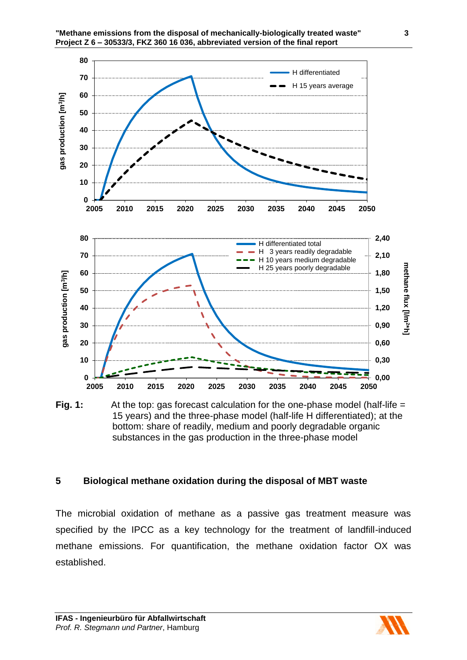**"Methane emissions from the disposal of mechanically-biologically treated waste" Project Z 6 – 30533/3, FKZ 360 16 036, abbreviated version of the final report**



**Fig. 1:** At the top: gas forecast calculation for the one-phase model (half-life = 15 years) and the three-phase model (half-life H differentiated); at the bottom: share of readily, medium and poorly degradable organic substances in the gas production in the three-phase model

#### **5 Biological methane oxidation during the disposal of MBT waste**

The microbial oxidation of methane as a passive gas treatment measure was specified by the IPCC as a key technology for the treatment of landfill-induced methane emissions. For quantification, the methane oxidation factor OX was established.

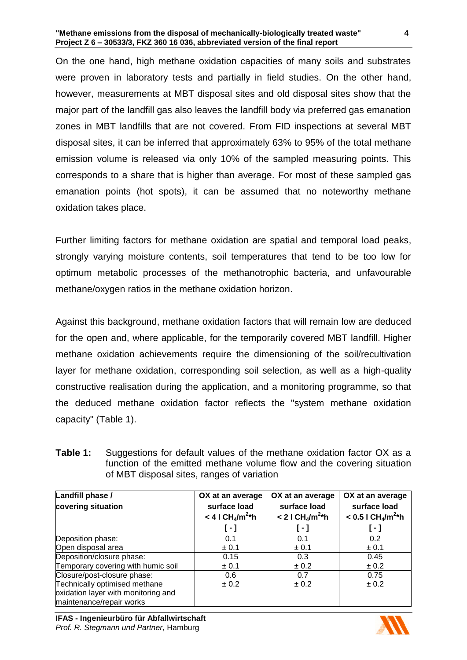#### **"Methane emissions from the disposal of mechanically-biologically treated waste" Project Z 6 – 30533/3, FKZ 360 16 036, abbreviated version of the final report**

On the one hand, high methane oxidation capacities of many soils and substrates were proven in laboratory tests and partially in field studies. On the other hand, however, measurements at MBT disposal sites and old disposal sites show that the major part of the landfill gas also leaves the landfill body via preferred gas emanation zones in MBT landfills that are not covered. From FID inspections at several MBT disposal sites, it can be inferred that approximately 63% to 95% of the total methane emission volume is released via only 10% of the sampled measuring points. This corresponds to a share that is higher than average. For most of these sampled gas emanation points (hot spots), it can be assumed that no noteworthy methane oxidation takes place.

Further limiting factors for methane oxidation are spatial and temporal load peaks, strongly varying moisture contents, soil temperatures that tend to be too low for optimum metabolic processes of the methanotrophic bacteria, and unfavourable methane/oxygen ratios in the methane oxidation horizon.

Against this background, methane oxidation factors that will remain low are deduced for the open and, where applicable, for the temporarily covered MBT landfill. Higher methane oxidation achievements require the dimensioning of the soil/recultivation layer for methane oxidation, corresponding soil selection, as well as a high-quality constructive realisation during the application, and a monitoring programme, so that the deduced methane oxidation factor reflects the "system methane oxidation capacity" (Table 1).

**Table 1:** Suggestions for default values of the methane oxidation factor OX as a function of the emitted methane volume flow and the covering situation of MBT disposal sites, ranges of variation

| Landfill phase /                    | OX at an average                           | OX at an average                           | OX at an average                             |
|-------------------------------------|--------------------------------------------|--------------------------------------------|----------------------------------------------|
| covering situation                  | surface load                               | surface load                               | surface load                                 |
|                                     | $< 4$ I CH <sub>4</sub> /m <sup>2</sup> *h | $< 2$ I CH <sub>4</sub> /m <sup>2</sup> *h | $< 0.5$ I CH <sub>4</sub> /m <sup>2</sup> *h |
|                                     | $\lbrack - \rbrack$                        | I - 1                                      | T - 1                                        |
| Deposition phase:                   | 0.1                                        | 0.1                                        | 0.2                                          |
| Open disposal area                  | ± 0.1                                      | ± 0.1                                      | ± 0.1                                        |
| Deposition/closure phase:           | 0.15                                       | 0.3                                        | 0.45                                         |
| Temporary covering with humic soil  | ± 0.1                                      | ± 0.2                                      | ± 0.2                                        |
| Closure/post-closure phase:         | 0.6                                        | 0.7                                        | 0.75                                         |
| Technically optimised methane       | ± 0.2                                      | ± 0.2                                      | ± 0.2                                        |
| oxidation layer with monitoring and |                                            |                                            |                                              |
| maintenance/repair works            |                                            |                                            |                                              |

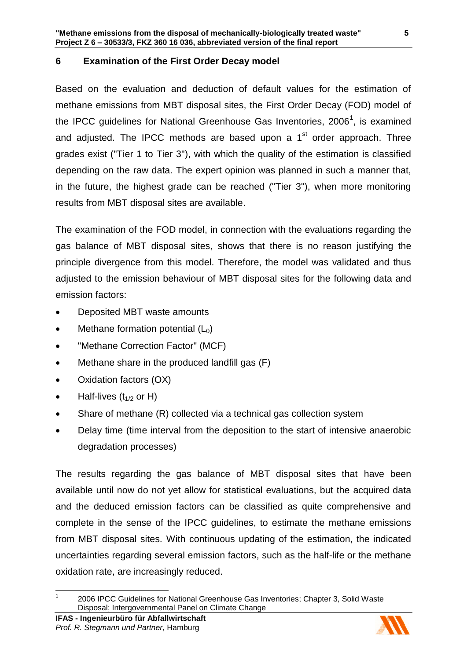## **6 Examination of the First Order Decay model**

Based on the evaluation and deduction of default values for the estimation of methane emissions from MBT disposal sites, the First Order Decay (FOD) model of the IPCC guidelines for National Greenhouse Gas Inventories, 2006<sup>1</sup>, is examined and adjusted. The IPCC methods are based upon a  $1<sup>st</sup>$  order approach. Three grades exist ("Tier 1 to Tier 3"), with which the quality of the estimation is classified depending on the raw data. The expert opinion was planned in such a manner that, in the future, the highest grade can be reached ("Tier 3"), when more monitoring results from MBT disposal sites are available.

The examination of the FOD model, in connection with the evaluations regarding the gas balance of MBT disposal sites, shows that there is no reason justifying the principle divergence from this model. Therefore, the model was validated and thus adjusted to the emission behaviour of MBT disposal sites for the following data and emission factors:

- Deposited MBT waste amounts
- Methane formation potential  $(L_0)$
- "Methane Correction Factor" (MCF)
- Methane share in the produced landfill gas (F)
- Oxidation factors (OX)
- Half-lives  $(t_{1/2}$  or H)
- Share of methane (R) collected via a technical gas collection system
- Delay time (time interval from the deposition to the start of intensive anaerobic degradation processes)

The results regarding the gas balance of MBT disposal sites that have been available until now do not yet allow for statistical evaluations, but the acquired data and the deduced emission factors can be classified as quite comprehensive and complete in the sense of the IPCC guidelines, to estimate the methane emissions from MBT disposal sites. With continuous updating of the estimation, the indicated uncertainties regarding several emission factors, such as the half-life or the methane oxidation rate, are increasingly reduced.



 $\overline{\phantom{a}}$ 1 2006 IPCC Guidelines for National Greenhouse Gas Inventories; Chapter 3, Solid Waste Disposal; Intergovernmental Panel on Climate Change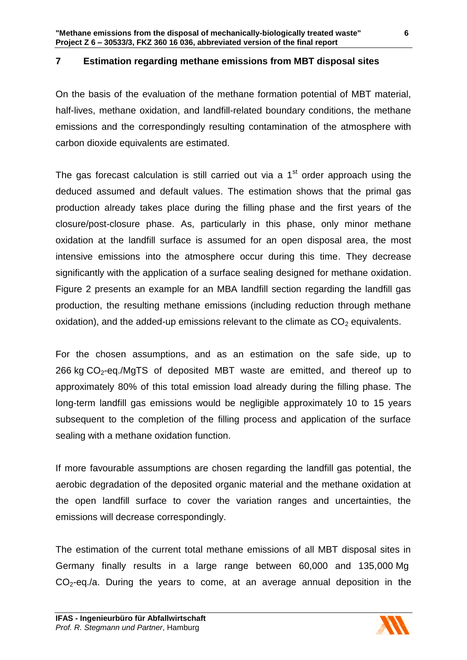## **7 Estimation regarding methane emissions from MBT disposal sites**

On the basis of the evaluation of the methane formation potential of MBT material, half-lives, methane oxidation, and landfill-related boundary conditions, the methane emissions and the correspondingly resulting contamination of the atmosphere with carbon dioxide equivalents are estimated.

The gas forecast calculation is still carried out via a  $1<sup>st</sup>$  order approach using the deduced assumed and default values. The estimation shows that the primal gas production already takes place during the filling phase and the first years of the closure/post-closure phase. As, particularly in this phase, only minor methane oxidation at the landfill surface is assumed for an open disposal area, the most intensive emissions into the atmosphere occur during this time. They decrease significantly with the application of a surface sealing designed for methane oxidation. Figure 2 presents an example for an MBA landfill section regarding the landfill gas production, the resulting methane emissions (including reduction through methane oxidation), and the added-up emissions relevant to the climate as  $CO<sub>2</sub>$  equivalents.

For the chosen assumptions, and as an estimation on the safe side, up to 266 kg  $CO<sub>2</sub>$ -eq./MgTS of deposited MBT waste are emitted, and thereof up to approximately 80% of this total emission load already during the filling phase. The long-term landfill gas emissions would be negligible approximately 10 to 15 years subsequent to the completion of the filling process and application of the surface sealing with a methane oxidation function.

If more favourable assumptions are chosen regarding the landfill gas potential, the aerobic degradation of the deposited organic material and the methane oxidation at the open landfill surface to cover the variation ranges and uncertainties, the emissions will decrease correspondingly.

The estimation of the current total methane emissions of all MBT disposal sites in Germany finally results in a large range between 60,000 and 135,000 Mg  $CO<sub>2</sub>$ -eq./a. During the years to come, at an average annual deposition in the

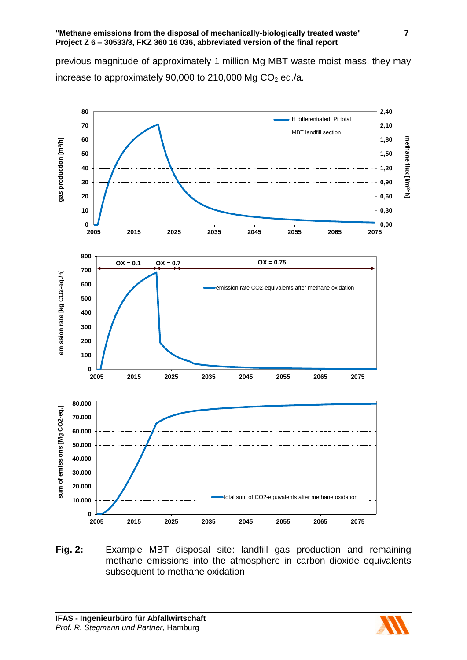previous magnitude of approximately 1 million Mg MBT waste moist mass, they may increase to approximately 90,000 to 210,000 Mg  $CO<sub>2</sub>$  eq./a.



**Fig. 2:** Example MBT disposal site: landfill gas production and remaining methane emissions into the atmosphere in carbon dioxide equivalents subsequent to methane oxidation

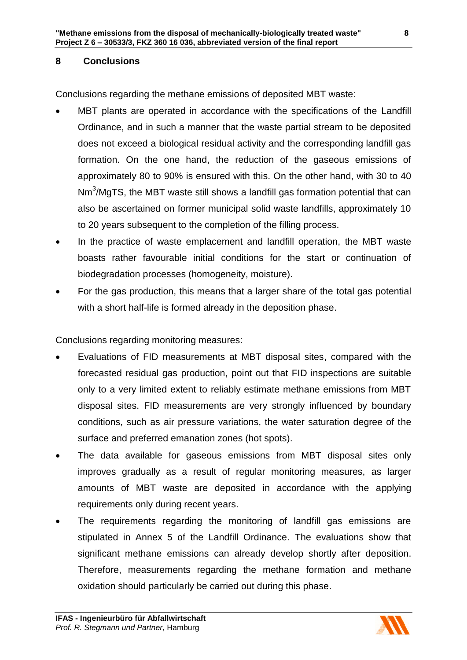## **8 Conclusions**

Conclusions regarding the methane emissions of deposited MBT waste:

- MBT plants are operated in accordance with the specifications of the Landfill Ordinance, and in such a manner that the waste partial stream to be deposited does not exceed a biological residual activity and the corresponding landfill gas formation. On the one hand, the reduction of the gaseous emissions of approximately 80 to 90% is ensured with this. On the other hand, with 30 to 40 Nm<sup>3</sup>/MgTS, the MBT waste still shows a landfill gas formation potential that can also be ascertained on former municipal solid waste landfills, approximately 10 to 20 years subsequent to the completion of the filling process.
- In the practice of waste emplacement and landfill operation, the MBT waste boasts rather favourable initial conditions for the start or continuation of biodegradation processes (homogeneity, moisture).
- For the gas production, this means that a larger share of the total gas potential with a short half-life is formed already in the deposition phase.

Conclusions regarding monitoring measures:

- Evaluations of FID measurements at MBT disposal sites, compared with the forecasted residual gas production, point out that FID inspections are suitable only to a very limited extent to reliably estimate methane emissions from MBT disposal sites. FID measurements are very strongly influenced by boundary conditions, such as air pressure variations, the water saturation degree of the surface and preferred emanation zones (hot spots).
- The data available for gaseous emissions from MBT disposal sites only improves gradually as a result of regular monitoring measures, as larger amounts of MBT waste are deposited in accordance with the applying requirements only during recent years.
- The requirements regarding the monitoring of landfill gas emissions are stipulated in Annex 5 of the Landfill Ordinance. The evaluations show that significant methane emissions can already develop shortly after deposition. Therefore, measurements regarding the methane formation and methane oxidation should particularly be carried out during this phase.